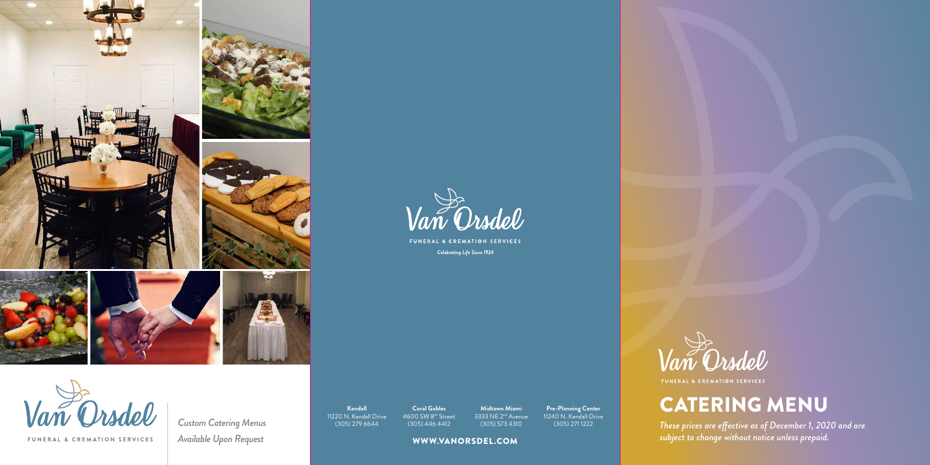



FUNERAL & CREMATION SERVICES Celebrating Life Since 1924



FUNERAL & CREMATION SERVICES

# CATERING MENU

*These prices are effective as of December 1, 2020 and are subject to change without notice unless prepaid.*

**Kendall** 11220 N. Kendall Drive (305) 279 6644

**Custom Catering Menus** *Available Upon Request*

**Coral Gables** 4600 SW 8th Street (305) 446 4412

**Midtown Miami** 3333 NE 2<sup>nd</sup> Avenue (305) 573 4310

**Pre-Planning Center** 11240 N. Kendall Drive

#### WWW.VANORSDEL.COM



FUNERAL & CREMATION SERVICES